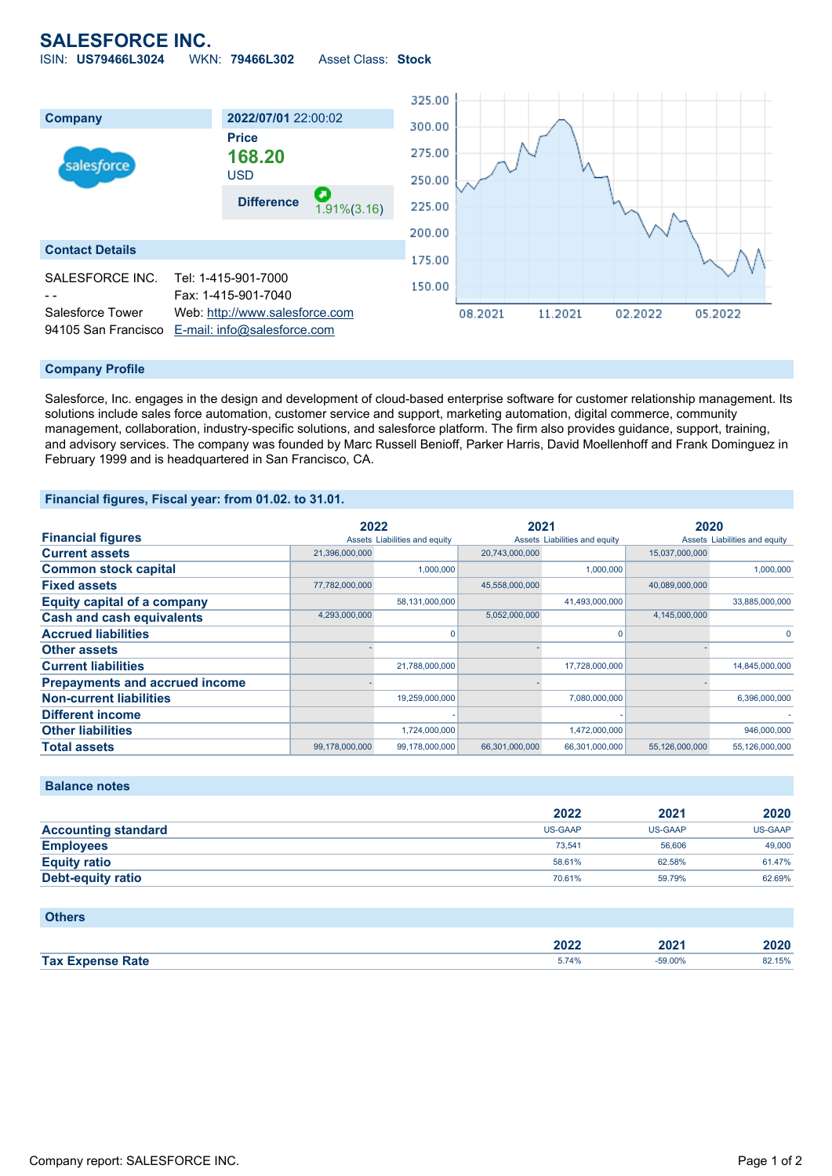## **SALESFORCE INC.**

ISIN: **US79466L3024** WKN: **79466L302** Asset Class: **Stock**



#### **Company Profile**

Salesforce, Inc. engages in the design and development of cloud-based enterprise software for customer relationship management. Its solutions include sales force automation, customer service and support, marketing automation, digital commerce, community management, collaboration, industry-specific solutions, and salesforce platform. The firm also provides guidance, support, training, and advisory services. The company was founded by Marc Russell Benioff, Parker Harris, David Moellenhoff and Frank Dominguez in February 1999 and is headquartered in San Francisco, CA.

#### **Financial figures, Fiscal year: from 01.02. to 31.01.**

|                                       | 2022           |                               | 2021           |                               | 2020           |                               |
|---------------------------------------|----------------|-------------------------------|----------------|-------------------------------|----------------|-------------------------------|
| <b>Financial figures</b>              |                | Assets Liabilities and equity |                | Assets Liabilities and equity |                | Assets Liabilities and equity |
| <b>Current assets</b>                 | 21,396,000,000 |                               | 20,743,000,000 |                               | 15,037,000,000 |                               |
| <b>Common stock capital</b>           |                | 1.000.000                     |                | 1.000.000                     |                | 1,000,000                     |
| <b>Fixed assets</b>                   | 77,782,000,000 |                               | 45,558,000,000 |                               | 40,089,000,000 |                               |
| <b>Equity capital of a company</b>    |                | 58,131,000,000                |                | 41,493,000,000                |                | 33,885,000,000                |
| <b>Cash and cash equivalents</b>      | 4,293,000,000  |                               | 5,052,000,000  |                               | 4,145,000,000  |                               |
| <b>Accrued liabilities</b>            |                |                               |                | n                             |                | 0                             |
| <b>Other assets</b>                   |                |                               |                |                               |                |                               |
| <b>Current liabilities</b>            |                | 21,788,000,000                |                | 17,728,000,000                |                | 14,845,000,000                |
| <b>Prepayments and accrued income</b> |                |                               |                |                               |                |                               |
| <b>Non-current liabilities</b>        |                | 19,259,000,000                |                | 7,080,000,000                 |                | 6,396,000,000                 |
| <b>Different income</b>               |                |                               |                |                               |                |                               |
| <b>Other liabilities</b>              |                | 1,724,000,000                 |                | 1,472,000,000                 |                | 946,000,000                   |
| <b>Total assets</b>                   | 99,178,000,000 | 99,178,000,000                | 66,301,000,000 | 66,301,000,000                | 55,126,000,000 | 55,126,000,000                |

### **Balance notes**

|                            | 2022    | 2021    | 2020           |
|----------------------------|---------|---------|----------------|
| <b>Accounting standard</b> | US-GAAP | US-GAAP | <b>US-GAAP</b> |
| <b>Employees</b>           | 73.541  | 56,606  | 49,000         |
| <b>Equity ratio</b>        | 58.61%  | 62.58%  | 61.47%         |
| <b>Debt-equity ratio</b>   | 70.61%  | 59.79%  | 62.69%         |

#### **Others**

|                         | פממ<br>ZUZZ | 2024<br>ZUZ<br>___ | 2020   |
|-------------------------|-------------|--------------------|--------|
| <b>Tax Expense Rate</b> | 5.74%       | $-59.00%$          | 82.15% |